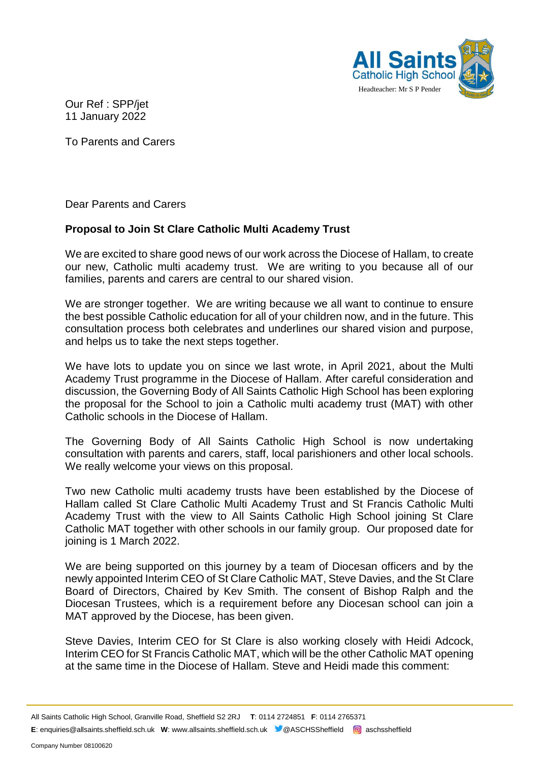

Our Ref : SPP/jet 11 January 2022

To Parents and Carers

Dear Parents and Carers

# **Proposal to Join St Clare Catholic Multi Academy Trust**

We are excited to share good news of our work across the Diocese of Hallam, to create our new, Catholic multi academy trust. We are writing to you because all of our families, parents and carers are central to our shared vision.

We are stronger together. We are writing because we all want to continue to ensure the best possible Catholic education for all of your children now, and in the future. This consultation process both celebrates and underlines our shared vision and purpose, and helps us to take the next steps together.

We have lots to update you on since we last wrote, in April 2021, about the Multi Academy Trust programme in the Diocese of Hallam. After careful consideration and discussion, the Governing Body of All Saints Catholic High School has been exploring the proposal for the School to join a Catholic multi academy trust (MAT) with other Catholic schools in the Diocese of Hallam.

The Governing Body of All Saints Catholic High School is now undertaking consultation with parents and carers, staff, local parishioners and other local schools. We really welcome your views on this proposal.

Two new Catholic multi academy trusts have been established by the Diocese of Hallam called St Clare Catholic Multi Academy Trust and St Francis Catholic Multi Academy Trust with the view to All Saints Catholic High School joining St Clare Catholic MAT together with other schools in our family group. Our proposed date for joining is 1 March 2022.

We are being supported on this journey by a team of Diocesan officers and by the newly appointed Interim CEO of St Clare Catholic MAT, Steve Davies, and the St Clare Board of Directors, Chaired by Kev Smith. The consent of Bishop Ralph and the Diocesan Trustees, which is a requirement before any Diocesan school can join a MAT approved by the Diocese, has been given.

Steve Davies, Interim CEO for St Clare is also working closely with Heidi Adcock, Interim CEO for St Francis Catholic MAT, which will be the other Catholic MAT opening at the same time in the Diocese of Hallam. Steve and Heidi made this comment:

All Saints Catholic High School, Granville Road, Sheffield S2 2RJ **T**: 0114 2724851 **F**: 0114 2765371 **E**: enquiries@allsaints.sheffield.sch.uk **W**: www.allsaints.sheffield.sch.uk @ASCHSSheffield **@** aschssheffield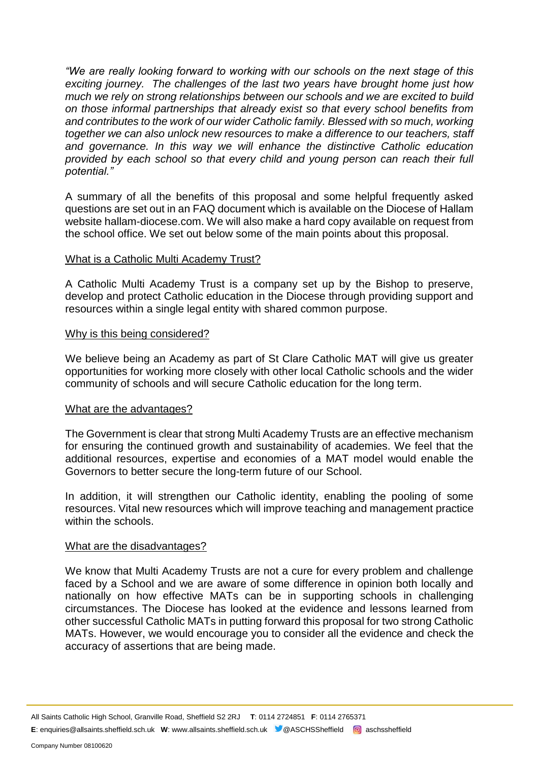*"We are really looking forward to working with our schools on the next stage of this exciting journey. The challenges of the last two years have brought home just how much we rely on strong relationships between our schools and we are excited to build on those informal partnerships that already exist so that every school benefits from and contributes to the work of our wider Catholic family. Blessed with so much, working together we can also unlock new resources to make a difference to our teachers, staff and governance. In this way we will enhance the distinctive Catholic education provided by each school so that every child and young person can reach their full potential."*

A summary of all the benefits of this proposal and some helpful frequently asked questions are set out in an FAQ document which is available on the Diocese of Hallam website hallam-diocese.com. We will also make a hard copy available on request from the school office. We set out below some of the main points about this proposal.

### What is a Catholic Multi Academy Trust?

A Catholic Multi Academy Trust is a company set up by the Bishop to preserve, develop and protect Catholic education in the Diocese through providing support and resources within a single legal entity with shared common purpose.

### Why is this being considered?

We believe being an Academy as part of St Clare Catholic MAT will give us greater opportunities for working more closely with other local Catholic schools and the wider community of schools and will secure Catholic education for the long term.

## What are the advantages?

The Government is clear that strong Multi Academy Trusts are an effective mechanism for ensuring the continued growth and sustainability of academies. We feel that the additional resources, expertise and economies of a MAT model would enable the Governors to better secure the long-term future of our School.

In addition, it will strengthen our Catholic identity, enabling the pooling of some resources. Vital new resources which will improve teaching and management practice within the schools.

#### What are the disadvantages?

We know that Multi Academy Trusts are not a cure for every problem and challenge faced by a School and we are aware of some difference in opinion both locally and nationally on how effective MATs can be in supporting schools in challenging circumstances. The Diocese has looked at the evidence and lessons learned from other successful Catholic MATs in putting forward this proposal for two strong Catholic MATs. However, we would encourage you to consider all the evidence and check the accuracy of assertions that are being made.

All Saints Catholic High School, Granville Road, Sheffield S2 2RJ **T**: 0114 2724851 **F**: 0114 2765371 **E**: enquiries@allsaints.sheffield.sch.uk **W**: www.allsaints.sheffield.sch.uk **@**ASCHSSheffield **@** aschssheffield